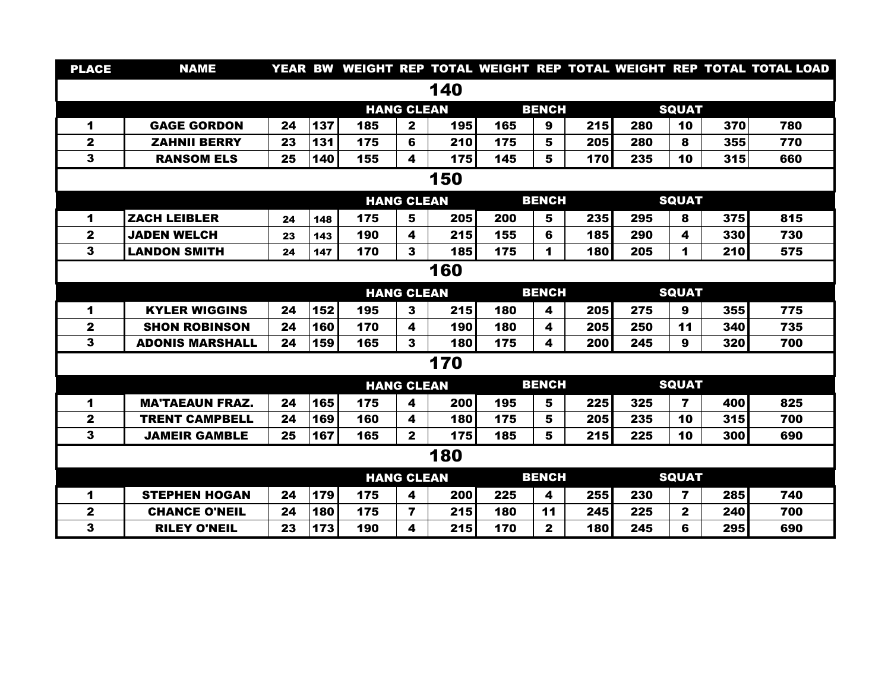| <b>PLACE</b>         | <b>NAME</b>            |    |     |                   |                         |              |     |                              |              |     |                         |     | YEAR BW WEIGHT REP TOTAL WEIGHT REP TOTAL WEIGHT REP TOTAL TOTAL LOAD |
|----------------------|------------------------|----|-----|-------------------|-------------------------|--------------|-----|------------------------------|--------------|-----|-------------------------|-----|-----------------------------------------------------------------------|
| 140                  |                        |    |     |                   |                         |              |     |                              |              |     |                         |     |                                                                       |
|                      |                        |    |     | <b>HANG CLEAN</b> |                         | <b>BENCH</b> |     |                              | <b>SQUAT</b> |     |                         |     |                                                                       |
| 1                    | <b>GAGE GORDON</b>     | 24 | 137 | 185               | $\overline{\mathbf{2}}$ | 195          | 165 | 9                            | 215          | 280 | 10                      | 370 | 780                                                                   |
| $\mathbf 2$          | <b>ZAHNII BERRY</b>    | 23 | 131 | 175               | 6                       | 210          | 175 | 5                            | 205          | 280 | 8                       | 355 | 770                                                                   |
| 3                    | <b>RANSOM ELS</b>      | 25 | 140 | 155               | 4                       | 175          | 145 | 5                            | 170          | 235 | 10                      | 315 | 660                                                                   |
| 150                  |                        |    |     |                   |                         |              |     |                              |              |     |                         |     |                                                                       |
|                      |                        |    |     | <b>HANG CLEAN</b> |                         |              |     | <b>BENCH</b>                 |              |     | <b>SQUAT</b>            |     |                                                                       |
| 1                    | <b>ZACH LEIBLER</b>    | 24 | 148 | 175               | 5                       | 205          | 200 | 5                            | 235          | 295 | 8                       | 375 | 815                                                                   |
| $\mathbf{2}$         | <b>JADEN WELCH</b>     | 23 | 143 | 190               | 4                       | 215          | 155 | 6                            | 185          | 290 | 4                       | 330 | 730                                                                   |
| 3                    | <b>LANDON SMITH</b>    | 24 | 147 | 170               | 3                       | 185          | 175 | 1                            | 180          | 205 | 1                       | 210 | 575                                                                   |
| 160                  |                        |    |     |                   |                         |              |     |                              |              |     |                         |     |                                                                       |
|                      |                        |    |     | <b>HANG CLEAN</b> |                         |              |     | <b>BENCH</b>                 |              |     | <b>SQUAT</b>            |     |                                                                       |
| 1                    | <b>KYLER WIGGINS</b>   | 24 | 152 | 195               | 3                       | 215          | 180 | 4                            | 205          | 275 | 9                       | 355 | 775                                                                   |
| $\mathbf{2}$         | <b>SHON ROBINSON</b>   | 24 | 160 | 170               | 4                       | 190          | 180 | 4                            | 205          | 250 | 11                      | 340 | 735                                                                   |
| 3                    | <b>ADONIS MARSHALL</b> | 24 | 159 | 165               | 3                       | 180          | 175 | 4                            | 200          | 245 | 9                       | 320 | 700                                                                   |
| 170                  |                        |    |     |                   |                         |              |     |                              |              |     |                         |     |                                                                       |
|                      |                        |    |     | <b>HANG CLEAN</b> |                         |              |     | <b>BENCH</b>                 |              |     | <b>SQUAT</b>            |     |                                                                       |
| $\blacktriangleleft$ | <b>MA'TAEAUN FRAZ.</b> | 24 | 165 | 175               | 4                       | 200          | 195 | 5                            | 225          | 325 | $\overline{\mathbf{z}}$ | 400 | 825                                                                   |
| $\mathbf{2}$         | <b>TRENT CAMPBELL</b>  | 24 | 169 | 160               | 4                       | 180          | 175 | 5                            | 205          | 235 | 10                      | 315 | 700                                                                   |
| 3                    | <b>JAMEIR GAMBLE</b>   | 25 | 167 | 165               | $\mathbf{2}$            | 175          | 185 | 5                            | 215          | 225 | 10                      | 300 | 690                                                                   |
| 180                  |                        |    |     |                   |                         |              |     |                              |              |     |                         |     |                                                                       |
|                      | <b>HANG CLEAN</b>      |    |     |                   |                         |              |     | <b>BENCH</b><br><b>SQUAT</b> |              |     |                         |     |                                                                       |
| 1                    | <b>STEPHEN HOGAN</b>   | 24 | 179 | 175               | 4                       | 200          | 225 | 4                            | 255          | 230 | 7                       | 285 | 740                                                                   |
| $\mathbf{2}$         | <b>CHANCE O'NEIL</b>   | 24 | 180 | 175               | $\overline{\mathbf{r}}$ | 215          | 180 | 11                           | 245          | 225 | $\mathbf{2}$            | 240 | 700                                                                   |
| 3                    | <b>RILEY O'NEIL</b>    | 23 | 173 | 190               | 4                       | 215          | 170 | $\mathbf{2}$                 | 180          | 245 | 6                       | 295 | 690                                                                   |